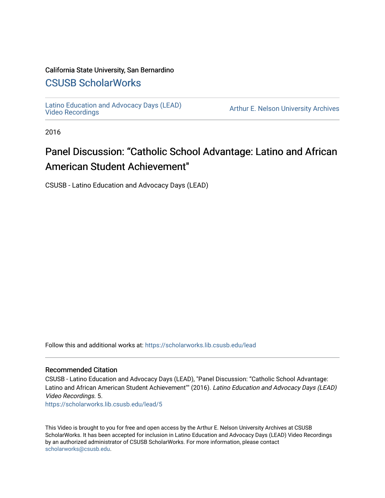#### California State University, San Bernardino

## [CSUSB ScholarWorks](https://scholarworks.lib.csusb.edu/)

[Latino Education and Advocacy Days \(LEAD\)](https://scholarworks.lib.csusb.edu/lead) 

Arthur E. Nelson University Archives

2016

# Panel Discussion: "Catholic School Advantage: Latino and African American Student Achievement"

CSUSB - Latino Education and Advocacy Days (LEAD)

Follow this and additional works at: [https://scholarworks.lib.csusb.edu/lead](https://scholarworks.lib.csusb.edu/lead?utm_source=scholarworks.lib.csusb.edu%2Flead%2F5&utm_medium=PDF&utm_campaign=PDFCoverPages)

#### Recommended Citation

CSUSB - Latino Education and Advocacy Days (LEAD), "Panel Discussion: "Catholic School Advantage: Latino and African American Student Achievement"" (2016). Latino Education and Advocacy Days (LEAD) Video Recordings. 5.

[https://scholarworks.lib.csusb.edu/lead/5](https://scholarworks.lib.csusb.edu/lead/5?utm_source=scholarworks.lib.csusb.edu%2Flead%2F5&utm_medium=PDF&utm_campaign=PDFCoverPages)

This Video is brought to you for free and open access by the Arthur E. Nelson University Archives at CSUSB ScholarWorks. It has been accepted for inclusion in Latino Education and Advocacy Days (LEAD) Video Recordings by an authorized administrator of CSUSB ScholarWorks. For more information, please contact [scholarworks@csusb.edu](mailto:scholarworks@csusb.edu).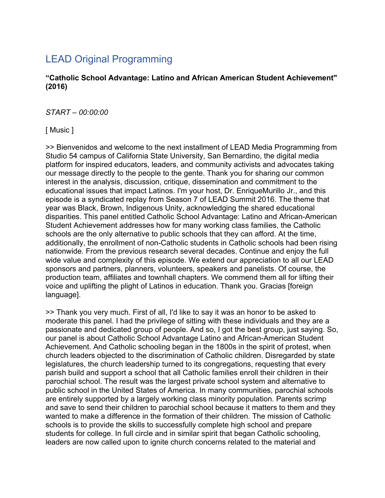# LEAD Original Programming

### **"Catholic School Advantage: Latino and African American Student Achievement" (2016)**

### *START – 00:00:00*

[ Music ]

>> Bienvenidos and welcome to the next installment of LEAD Media Programming from Studio 54 campus of California State University, San Bernardino, the digital media platform for inspired educators, leaders, and community activists and advocates taking our message directly to the people to the gente. Thank you for sharing our common interest in the analysis, discussion, critique, dissemination and commitment to the educational issues that impact Latinos. I'm your host, Dr. EnriqueMurillo Jr., and this episode is a syndicated replay from Season 7 of LEAD Summit 2016. The theme that year was Black, Brown, Indigenous Unity, acknowledging the shared educational disparities. This panel entitled Catholic School Advantage: Latino and African-American Student Achievement addresses how for many working class families, the Catholic schools are the only alternative to public schools that they can afford. At the time, additionally, the enrollment of non-Catholic students in Catholic schools had been rising nationwide. From the previous research several decades. Continue and enjoy the full wide value and complexity of this episode. We extend our appreciation to all our LEAD sponsors and partners, planners, volunteers, speakers and panelists. Of course, the production team, affiliates and townhall chapters. We commend them all for lifting their voice and uplifting the plight of Latinos in education. Thank you. Gracias [foreign language].

>> Thank you very much. First of all, I'd like to say it was an honor to be asked to moderate this panel. I had the privilege of sitting with these individuals and they are a passionate and dedicated group of people. And so, I got the best group, just saying. So, our panel is about Catholic School Advantage Latino and African-American Student Achievement. And Catholic schooling began in the 1800s in the spirit of protest, when church leaders objected to the discrimination of Catholic children. Disregarded by state legislatures, the church leadership turned to its congregations, requesting that every parish build and support a school that all Catholic families enroll their children in their parochial school. The result was the largest private school system and alternative to public school in the United States of America. In many communities, parochial schools are entirely supported by a largely working class minority population. Parents scrimp and save to send their children to parochial school because it matters to them and they wanted to make a difference in the formation of their children. The mission of Catholic schools is to provide the skills to successfully complete high school and prepare students for college. In full circle and in similar spirit that began Catholic schooling, leaders are now called upon to ignite church concerns related to the material and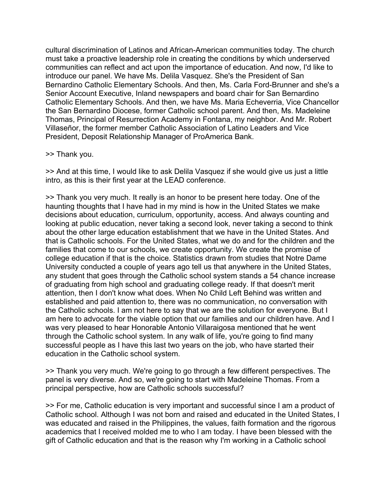cultural discrimination of Latinos and African-American communities today. The church must take a proactive leadership role in creating the conditions by which underserved communities can reflect and act upon the importance of education. And now, I'd like to introduce our panel. We have Ms. Delila Vasquez. She's the President of San Bernardino Catholic Elementary Schools. And then, Ms. Carla Ford-Brunner and she's a Senior Account Executive, Inland newspapers and board chair for San Bernardino Catholic Elementary Schools. And then, we have Ms. Maria Echeverria, Vice Chancellor the San Bernardino Diocese, former Catholic school parent. And then, Ms. Madeleine Thomas, Principal of Resurrection Academy in Fontana, my neighbor. And Mr. Robert Villaseñor, the former member Catholic Association of Latino Leaders and Vice President, Deposit Relationship Manager of ProAmerica Bank.

### >> Thank you.

>> And at this time, I would like to ask Delila Vasquez if she would give us just a little intro, as this is their first year at the LEAD conference.

>> Thank you very much. It really is an honor to be present here today. One of the haunting thoughts that I have had in my mind is how in the United States we make decisions about education, curriculum, opportunity, access. And always counting and looking at public education, never taking a second look, never taking a second to think about the other large education establishment that we have in the United States. And that is Catholic schools. For the United States, what we do and for the children and the families that come to our schools, we create opportunity. We create the promise of college education if that is the choice. Statistics drawn from studies that Notre Dame University conducted a couple of years ago tell us that anywhere in the United States, any student that goes through the Catholic school system stands a 54 chance increase of graduating from high school and graduating college ready. If that doesn't merit attention, then I don't know what does. When No Child Left Behind was written and established and paid attention to, there was no communication, no conversation with the Catholic schools. I am not here to say that we are the solution for everyone. But I am here to advocate for the viable option that our families and our children have. And I was very pleased to hear Honorable Antonio Villaraigosa mentioned that he went through the Catholic school system. In any walk of life, you're going to find many successful people as I have this last two years on the job, who have started their education in the Catholic school system.

>> Thank you very much. We're going to go through a few different perspectives. The panel is very diverse. And so, we're going to start with Madeleine Thomas. From a principal perspective, how are Catholic schools successful?

>> For me, Catholic education is very important and successful since I am a product of Catholic school. Although I was not born and raised and educated in the United States, I was educated and raised in the Philippines, the values, faith formation and the rigorous academics that I received molded me to who I am today. I have been blessed with the gift of Catholic education and that is the reason why I'm working in a Catholic school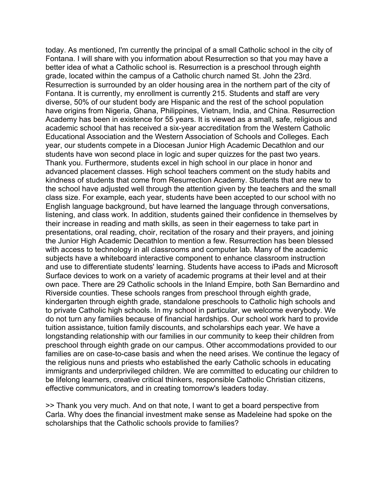today. As mentioned, I'm currently the principal of a small Catholic school in the city of Fontana. I will share with you information about Resurrection so that you may have a better idea of what a Catholic school is. Resurrection is a preschool through eighth grade, located within the campus of a Catholic church named St. John the 23rd. Resurrection is surrounded by an older housing area in the northern part of the city of Fontana. It is currently, my enrollment is currently 215. Students and staff are very diverse, 50% of our student body are Hispanic and the rest of the school population have origins from Nigeria, Ghana, Philippines, Vietnam, India, and China. Resurrection Academy has been in existence for 55 years. It is viewed as a small, safe, religious and academic school that has received a six-year accreditation from the Western Catholic Educational Association and the Western Association of Schools and Colleges. Each year, our students compete in a Diocesan Junior High Academic Decathlon and our students have won second place in logic and super quizzes for the past two years. Thank you. Furthermore, students excel in high school in our place in honor and advanced placement classes. High school teachers comment on the study habits and kindness of students that come from Resurrection Academy. Students that are new to the school have adjusted well through the attention given by the teachers and the small class size. For example, each year, students have been accepted to our school with no English language background, but have learned the language through conversations, listening, and class work. In addition, students gained their confidence in themselves by their increase in reading and math skills, as seen in their eagerness to take part in presentations, oral reading, choir, recitation of the rosary and their prayers, and joining the Junior High Academic Decathlon to mention a few. Resurrection has been blessed with access to technology in all classrooms and computer lab. Many of the academic subjects have a whiteboard interactive component to enhance classroom instruction and use to differentiate students' learning. Students have access to iPads and Microsoft Surface devices to work on a variety of academic programs at their level and at their own pace. There are 29 Catholic schools in the Inland Empire, both San Bernardino and Riverside counties. These schools ranges from preschool through eighth grade, kindergarten through eighth grade, standalone preschools to Catholic high schools and to private Catholic high schools. In my school in particular, we welcome everybody. We do not turn any families because of financial hardships. Our school work hard to provide tuition assistance, tuition family discounts, and scholarships each year. We have a longstanding relationship with our families in our community to keep their children from preschool through eighth grade on our campus. Other accommodations provided to our families are on case-to-case basis and when the need arises. We continue the legacy of the religious nuns and priests who established the early Catholic schools in educating immigrants and underprivileged children. We are committed to educating our children to be lifelong learners, creative critical thinkers, responsible Catholic Christian citizens, effective communicators, and in creating tomorrow's leaders today.

>> Thank you very much. And on that note, I want to get a board perspective from Carla. Why does the financial investment make sense as Madeleine had spoke on the scholarships that the Catholic schools provide to families?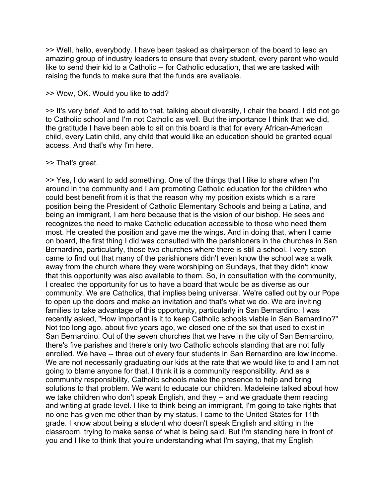>> Well, hello, everybody. I have been tasked as chairperson of the board to lead an amazing group of industry leaders to ensure that every student, every parent who would like to send their kid to a Catholic -- for Catholic education, that we are tasked with raising the funds to make sure that the funds are available.

>> Wow, OK. Would you like to add?

>> It's very brief. And to add to that, talking about diversity, I chair the board. I did not go to Catholic school and I'm not Catholic as well. But the importance I think that we did, the gratitude I have been able to sit on this board is that for every African-American child, every Latin child, any child that would like an education should be granted equal access. And that's why I'm here.

### >> That's great.

>> Yes, I do want to add something. One of the things that I like to share when I'm around in the community and I am promoting Catholic education for the children who could best benefit from it is that the reason why my position exists which is a rare position being the President of Catholic Elementary Schools and being a Latina, and being an immigrant, I am here because that is the vision of our bishop. He sees and recognizes the need to make Catholic education accessible to those who need them most. He created the position and gave me the wings. And in doing that, when I came on board, the first thing I did was consulted with the parishioners in the churches in San Bernardino, particularly, those two churches where there is still a school. I very soon came to find out that many of the parishioners didn't even know the school was a walk away from the church where they were worshiping on Sundays, that they didn't know that this opportunity was also available to them. So, in consultation with the community, I created the opportunity for us to have a board that would be as diverse as our community. We are Catholics, that implies being universal. We're called out by our Pope to open up the doors and make an invitation and that's what we do. We are inviting families to take advantage of this opportunity, particularly in San Bernardino. I was recently asked, "How important is it to keep Catholic schools viable in San Bernardino?" Not too long ago, about five years ago, we closed one of the six that used to exist in San Bernardino. Out of the seven churches that we have in the city of San Bernardino, there's five parishes and there's only two Catholic schools standing that are not fully enrolled. We have -- three out of every four students in San Bernardino are low income. We are not necessarily graduating our kids at the rate that we would like to and I am not going to blame anyone for that. I think it is a community responsibility. And as a community responsibility, Catholic schools make the presence to help and bring solutions to that problem. We want to educate our children. Madeleine talked about how we take children who don't speak English, and they -- and we graduate them reading and writing at grade level. I like to think being an immigrant, I'm going to take rights that no one has given me other than by my status. I came to the United States for 11th grade. I know about being a student who doesn't speak English and sitting in the classroom, trying to make sense of what is being said. But I'm standing here in front of you and I like to think that you're understanding what I'm saying, that my English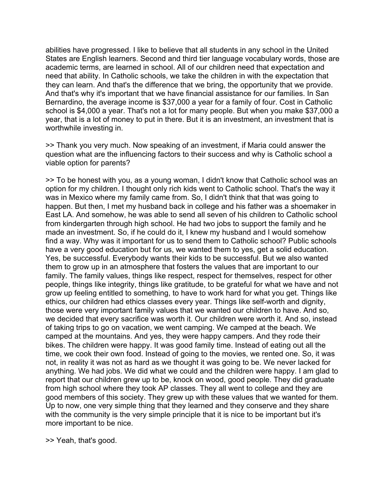abilities have progressed. I like to believe that all students in any school in the United States are English learners. Second and third tier language vocabulary words, those are academic terms, are learned in school. All of our children need that expectation and need that ability. In Catholic schools, we take the children in with the expectation that they can learn. And that's the difference that we bring, the opportunity that we provide. And that's why it's important that we have financial assistance for our families. In San Bernardino, the average income is \$37,000 a year for a family of four. Cost in Catholic school is \$4,000 a year. That's not a lot for many people. But when you make \$37,000 a year, that is a lot of money to put in there. But it is an investment, an investment that is worthwhile investing in.

>> Thank you very much. Now speaking of an investment, if Maria could answer the question what are the influencing factors to their success and why is Catholic school a viable option for parents?

>> To be honest with you, as a young woman, I didn't know that Catholic school was an option for my children. I thought only rich kids went to Catholic school. That's the way it was in Mexico where my family came from. So, I didn't think that that was going to happen. But then, I met my husband back in college and his father was a shoemaker in East LA. And somehow, he was able to send all seven of his children to Catholic school from kindergarten through high school. He had two jobs to support the family and he made an investment. So, if he could do it, I knew my husband and I would somehow find a way. Why was it important for us to send them to Catholic school? Public schools have a very good education but for us, we wanted them to yes, get a solid education. Yes, be successful. Everybody wants their kids to be successful. But we also wanted them to grow up in an atmosphere that fosters the values that are important to our family. The family values, things like respect, respect for themselves, respect for other people, things like integrity, things like gratitude, to be grateful for what we have and not grow up feeling entitled to something, to have to work hard for what you get. Things like ethics, our children had ethics classes every year. Things like self-worth and dignity, those were very important family values that we wanted our children to have. And so, we decided that every sacrifice was worth it. Our children were worth it. And so, instead of taking trips to go on vacation, we went camping. We camped at the beach. We camped at the mountains. And yes, they were happy campers. And they rode their bikes. The children were happy. It was good family time. Instead of eating out all the time, we cook their own food. Instead of going to the movies, we rented one. So, it was not, in reality it was not as hard as we thought it was going to be. We never lacked for anything. We had jobs. We did what we could and the children were happy. I am glad to report that our children grew up to be, knock on wood, good people. They did graduate from high school where they took AP classes. They all went to college and they are good members of this society. They grew up with these values that we wanted for them. Up to now, one very simple thing that they learned and they conserve and they share with the community is the very simple principle that it is nice to be important but it's more important to be nice.

>> Yeah, that's good.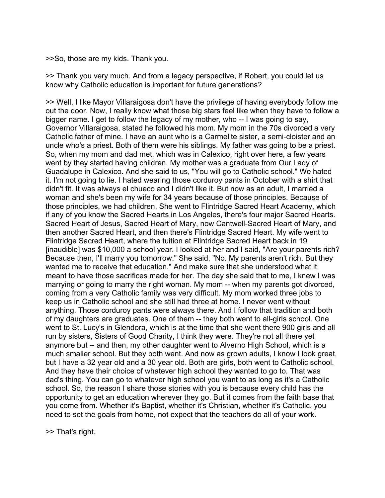>>So, those are my kids. Thank you.

>> Thank you very much. And from a legacy perspective, if Robert, you could let us know why Catholic education is important for future generations?

>> Well, I like Mayor Villaraigosa don't have the privilege of having everybody follow me out the door. Now, I really know what those big stars feel like when they have to follow a bigger name. I get to follow the legacy of my mother, who -- I was going to say, Governor Villaraigosa, stated he followed his mom. My mom in the 70s divorced a very Catholic father of mine. I have an aunt who is a Carmelite sister, a semi-cloister and an uncle who's a priest. Both of them were his siblings. My father was going to be a priest. So, when my mom and dad met, which was in Calexico, right over here, a few years went by they started having children. My mother was a graduate from Our Lady of Guadalupe in Calexico. And she said to us, "You will go to Catholic school." We hated it. I'm not going to lie. I hated wearing those corduroy pants in October with a shirt that didn't fit. It was always el chueco and I didn't like it. But now as an adult, I married a woman and she's been my wife for 34 years because of those principles. Because of those principles, we had children. She went to Flintridge Sacred Heart Academy, which if any of you know the Sacred Hearts in Los Angeles, there's four major Sacred Hearts. Sacred Heart of Jesus, Sacred Heart of Mary, now Cantwell-Sacred Heart of Mary, and then another Sacred Heart, and then there's Flintridge Sacred Heart. My wife went to Flintridge Sacred Heart, where the tuition at Flintridge Sacred Heart back in 19 [inaudible] was \$10,000 a school year. I looked at her and I said, "Are your parents rich? Because then, I'll marry you tomorrow." She said, "No. My parents aren't rich. But they wanted me to receive that education." And make sure that she understood what it meant to have those sacrifices made for her. The day she said that to me, I knew I was marrying or going to marry the right woman. My mom -- when my parents got divorced, coming from a very Catholic family was very difficult. My mom worked three jobs to keep us in Catholic school and she still had three at home. I never went without anything. Those corduroy pants were always there. And I follow that tradition and both of my daughters are graduates. One of them -- they both went to all-girls school. One went to St. Lucy's in Glendora, which is at the time that she went there 900 girls and all run by sisters, Sisters of Good Charity, I think they were. They're not all there yet anymore but -- and then, my other daughter went to Alverno High School, which is a much smaller school. But they both went. And now as grown adults, I know I look great, but I have a 32 year old and a 30 year old. Both are girls, both went to Catholic school. And they have their choice of whatever high school they wanted to go to. That was dad's thing. You can go to whatever high school you want to as long as it's a Catholic school. So, the reason I share those stories with you is because every child has the opportunity to get an education wherever they go. But it comes from the faith base that you come from. Whether it's Baptist, whether it's Christian, whether it's Catholic, you need to set the goals from home, not expect that the teachers do all of your work.

>> That's right.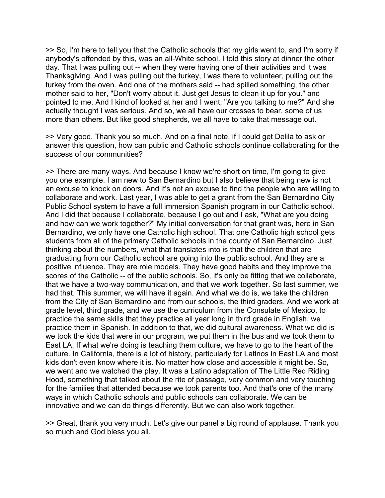>> So, I'm here to tell you that the Catholic schools that my girls went to, and I'm sorry if anybody's offended by this, was an all-White school. I told this story at dinner the other day. That I was pulling out -- when they were having one of their activities and it was Thanksgiving. And I was pulling out the turkey, I was there to volunteer, pulling out the turkey from the oven. And one of the mothers said -- had spilled something, the other mother said to her, "Don't worry about it. Just get Jesus to clean it up for you." and pointed to me. And I kind of looked at her and I went, "Are you talking to me?" And she actually thought I was serious. And so, we all have our crosses to bear, some of us more than others. But like good shepherds, we all have to take that message out.

>> Very good. Thank you so much. And on a final note, if I could get Delila to ask or answer this question, how can public and Catholic schools continue collaborating for the success of our communities?

>> There are many ways. And because I know we're short on time, I'm going to give you one example. I am new to San Bernardino but I also believe that being new is not an excuse to knock on doors. And it's not an excuse to find the people who are willing to collaborate and work. Last year, I was able to get a grant from the San Bernardino City Public School system to have a full immersion Spanish program in our Catholic school. And I did that because I collaborate, because I go out and I ask, "What are you doing and how can we work together?" My initial conversation for that grant was, here in San Bernardino, we only have one Catholic high school. That one Catholic high school gets students from all of the primary Catholic schools in the county of San Bernardino. Just thinking about the numbers, what that translates into is that the children that are graduating from our Catholic school are going into the public school. And they are a positive influence. They are role models. They have good habits and they improve the scores of the Catholic -- of the public schools. So, it's only be fitting that we collaborate, that we have a two-way communication, and that we work together. So last summer, we had that. This summer, we will have it again. And what we do is, we take the children from the City of San Bernardino and from our schools, the third graders. And we work at grade level, third grade, and we use the curriculum from the Consulate of Mexico, to practice the same skills that they practice all year long in third grade in English, we practice them in Spanish. In addition to that, we did cultural awareness. What we did is we took the kids that were in our program, we put them in the bus and we took them to East LA. If what we're doing is teaching them culture, we have to go to the heart of the culture. In California, there is a lot of history, particularly for Latinos in East LA and most kids don't even know where it is. No matter how close and accessible it might be. So, we went and we watched the play. It was a Latino adaptation of The Little Red Riding Hood, something that talked about the rite of passage, very common and very touching for the families that attended because we took parents too. And that's one of the many ways in which Catholic schools and public schools can collaborate. We can be innovative and we can do things differently. But we can also work together.

>> Great, thank you very much. Let's give our panel a big round of applause. Thank you so much and God bless you all.